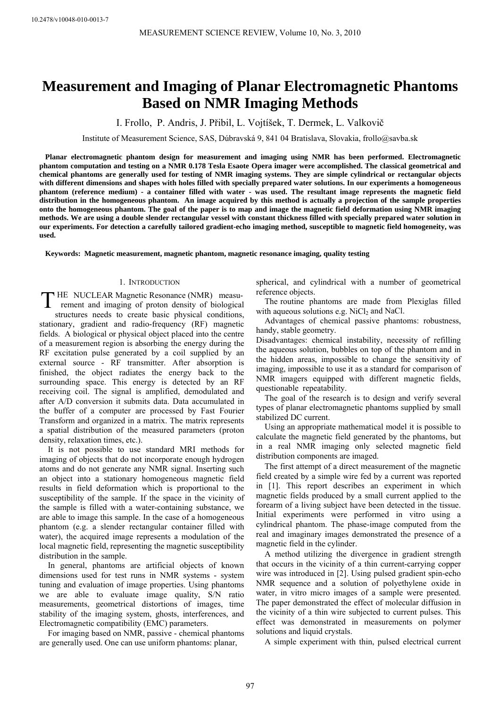# **Measurement and Imaging of Planar Electromagnetic Phantoms Based on NMR Imaging Methods**

I. Frollo, P. Andris, J. Přibil, L. Vojtíšek, T. Dermek, L. Valkovič

Institute of Measurement Science, SAS, Dúbravská 9, 841 04 Bratislava, Slovakia, frollo@savba.sk

**Planar electromagnetic phantom design for measurement and imaging using NMR has been performed. Electromagnetic phantom computation and testing on a NMR 0.178 Tesla Esaote Opera imager were accomplished. The classical geometrical and chemical phantoms are generally used for testing of NMR imaging systems. They are simple cylindrical or rectangular objects with different dimensions and shapes with holes filled with specially prepared water solutions. In our experiments a homogeneous phantom (reference medium) - a container filled with water - was used. The resultant image represents the magnetic field distribution in the homogeneous phantom. An image acquired by this method is actually a projection of the sample properties onto the homogeneous phantom. The goal of the paper is to map and image the magnetic field deformation using NMR imaging methods. We are using a double slender rectangular vessel with constant thickness filled with specially prepared water solution in our experiments. For detection a carefully tailored gradient-echo imaging method, susceptible to magnetic field homogeneity, was used.** 

**Keywords: Magnetic measurement, magnetic phantom, magnetic resonance imaging, quality testing**

# 1. INTRODUCTION

THE NUCLEAR Magnetic Resonance (NMR) measu-<br>rement and imaging of proton density of biological st ructures needs to create basic physical conditions, rement and imaging of proton density of biological stationary, gradient and radio-frequency (RF) magnetic fields. A biological or physical object placed into the centre of a measurement region is absorbing the energy during the RF excitation pulse generated by a coil supplied by an external source - RF transmitter. After absorption is finished, the object radiates the energy back to the surrounding space. This energy is detected by an RF receiving coil. The signal is amplified, demodulated and after A/D conversion it submits data. Data accumulated in the buffer of a computer are processed by Fast Fourier Transform and organized in a matrix. The matrix represents a spatial distribution of the measured parameters (proton density, relaxation times, etc.).

 It is not possible to use standard MRI methods for imaging of objects that do not incorporate enough hydrogen atoms and do not generate any NMR signal. Inserting such an object into a stationary homogeneous magnetic field results in field deformation which is proportional to the susceptibility of the sample. If the space in the vicinity of the sample is filled with a water-containing substance, we are able to image this sample. In the case of a homogeneous phantom (e.g. a slender rectangular container filled with water), the acquired image represents a modulation of the local magnetic field, representing the magnetic susceptibility distribution in the sample.

 In general, phantoms are artificial objects of known dimensions used for test runs in NMR systems - system tuning and evaluation of image properties. Using phantoms we are able to evaluate image quality, S/N ratio measurements, geometrical distortions of images, time stability of the imaging system, ghosts, interferences, and Electromagnetic compatibility (EMC) parameters.

 For imaging based on NMR, passive - chemical phantoms are generally used. One can use uniform phantoms: planar,

spherical, and cylindrical with a number of geometrical reference objects.

 The routine phantoms are made from Plexiglas filled with aqueous solutions e.g.  $NiCl<sub>2</sub>$  and NaCl.

 Advantages of chemical passive phantoms: robustness, handy, stable geometry.

Disadvantages: chemical instability, necessity of refilling the aqueous solution, bubbles on top of the phantom and in the hidden areas, impossible to change the sensitivity of imaging, impossible to use it as a standard for comparison of NMR imagers equipped with different magnetic fields, questionable repeatability.

 The goal of the research is to design and verify several types of planar electromagnetic phantoms supplied by small stabilized DC current.

 Using an appropriate mathematical model it is possible to calculate the magnetic field generated by the phantoms, but in a real NMR imaging only selected magnetic field distribution components are imaged.

 The first attempt of a direct measurement of the magnetic field created by a simple wire fed by a current was reported in [1]. This report describes an experiment in which magnetic fields produced by a small current applied to the forearm of a living subject have been detected in the tissue. Initial experiments were performed in vitro using a cylindrical phantom. The phase-image computed from the real and imaginary images demonstrated the presence of a magnetic field in the cylinder.

 A method utilizing the divergence in gradient strength that occurs in the vicinity of a thin current-carrying copper wire was introduced in [2]. Using pulsed gradient spin-echo NMR sequence and a solution of polyethylene oxide in water, in vitro micro images of a sample were presented. The paper demonstrated the effect of molecular diffusion in the vicinity of a thin wire subjected to current pulses. This effect was demonstrated in measurements on polymer solutions and liquid crystals.

A simple experiment with thin, pulsed electrical current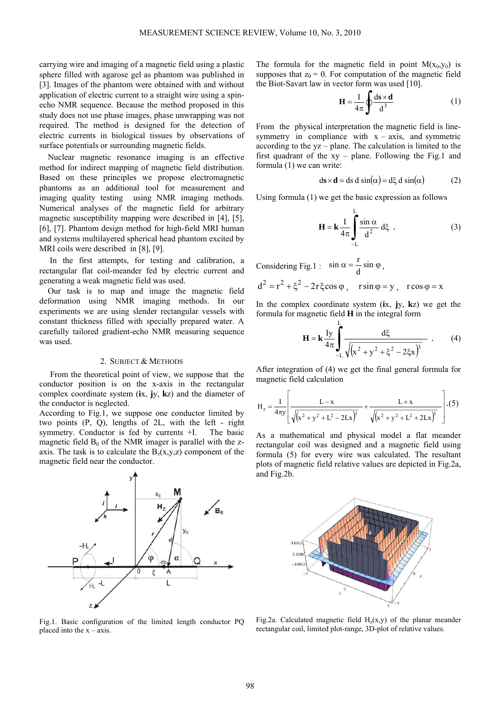carrying wire and imaging of a magnetic field using a plastic sphere filled with agarose gel as phantom was published in [3]. Images of the phantom were obtained with and without application of electric current to a straight wire using a spinecho NMR sequence. Because the method proposed in this study does not use phase images, phase unwrapping was not required. The method is designed for the detection of electric currents in biological tissues by observations of surface potentials or surrounding magnetic fields.

 Nuclear magnetic resonance imaging is an effective method for indirect mapping of magnetic field distribution. Based on these principles we propose electromagnetic phantoms as an additional tool for measurement and imaging quality testing using NMR imaging methods. Numerical analyses of the magnetic field for arbitrary magnetic susceptibility mapping were described in [4], [5], [6], [7]. Phantom design method for high-field MRI human and systems multilayered spherical head phantom excited by MRI coils were described in [8], [9].

 In the first attempts, for testing and calibration, a rectangular flat coil-meander fed by electric current and generating a weak magnetic field was used.

Our task is to map and image the magnetic field deformation using NMR imaging methods. In our experiments we are using slender rectangular vessels with constant thickness filled with specially prepared water. A carefully tailored gradient-echo NMR measuring sequence was used.

# 2. SUBJECT & METHODS

 From the theoretical point of view, we suppose that the conductor position is on the x-axis in the rectangular complex coordinate system (**i**x, **j**y, **k**z) and the diameter of the conductor is neglected.

According to Fig.1, we suppose one conductor limited by two points (P, Q), lengths of 2L, with the left - right symmetry. Conductor is fed by currents +I. The basic magnetic field  $B_0$  of the NMR imager is parallel with the zaxis. The task is to calculate the  $B_z(x,y,z)$  component of the magnetic field near the conductor.



Fig.1. Basic configuration of the limited length conductor PQ placed into the  $x - axis$ .

The formula for the magnetic field in point  $M(x_0, y_0)$  is supposes that  $z_0 = 0$ . For computation of the magnetic field the Biot-Savart law in vector form was used [10].

$$
\mathbf{H} = \frac{1}{4\pi} \oint \frac{ds \times \mathbf{d}}{d^3} \tag{1}
$$

From the physical interpretation the magnetic field is linesymmetry in compliance with  $x - axis$ , and symmetric according to the yz – plane. The calculation is limited to the first quadrant of the xy – plane. Following the Fig.1 and formula (1) we can write:

$$
ds \times d = ds d \sin(\alpha) = d\xi d \sin(\alpha) \tag{2}
$$

Using formula (1) we get the basic expression as follows

$$
\mathbf{H} = \mathbf{k} \frac{I}{4\pi} \int_{-L}^{L} \frac{\sin \alpha}{d^2} d\xi \tag{3}
$$

Considering Fig.1 :  $\sin \alpha = \frac{r}{d} \sin \varphi$ ,

 $\mathsf{r}$ 

$$
d^{2} = r^{2} + \xi^{2} - 2r\xi\cos\varphi, \quad r\sin\varphi = y, \quad r\cos\varphi = x
$$

In the complex coordinate system (**i**x, **j**y, **k**z) we get the formula for magnetic field **H** in the integral form

$$
\mathbf{H} = \mathbf{k} \frac{I y}{4\pi} \int_{-L}^{L} \frac{d\xi}{\sqrt{(x^2 + y^2 + \xi^2 - 2\xi x)^3}} \qquad (4)
$$

After integration of (4) we get the final general formula for magnetic field calculation

$$
H_{z} = \frac{I}{4\pi y} \left[ \frac{L - x}{\sqrt{(x^{2} + y^{2} + L^{2} - 2Lx)^{3}}} + \frac{L + x}{\sqrt{(x^{2} + y^{2} + L^{2} + 2Lx)^{3}}} \right].(5)
$$

As a mathematical and physical model a flat meander rectangular coil was designed and a magnetic field using formula (5) for every wire was calculated. The resultant plots of magnetic field relative values are depicted in Fig.2a, and Fig.2b.



Fig.2a. Calculated magnetic field  $H_z(x,y)$  of the planar meander rectangular coil, limited plot-range, 3D-plot of relative values.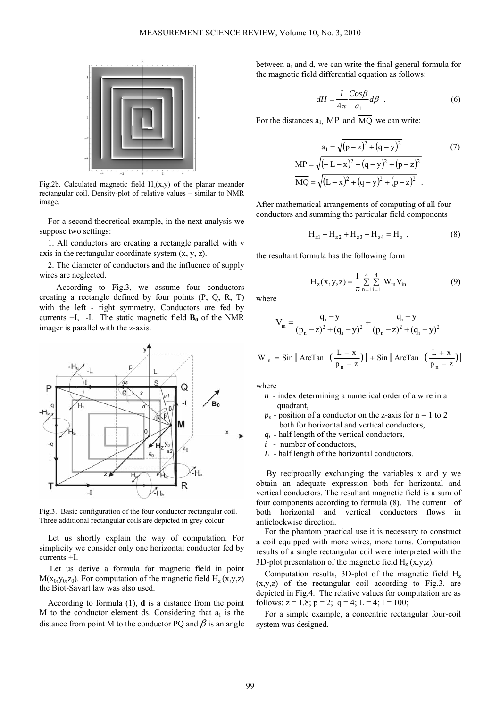

Fig.2b. Calculated magnetic field  $H_z(x,y)$  of the planar meander rectangular coil. Density-plot of relative values – similar to NMR image.

For a second theoretical example, in the next analysis we suppose two settings:

1. All conductors are creating a rectangle parallel with y axis in the rectangular coordinate system  $(x, y, z)$ .

2. The diameter of conductors and the influence of supply wires are neglected.

 According to Fig.3, we assume four conductors creating a rectangle defined by four points (P, Q, R, T) with the left - right symmetry. Conductors are fed by currents  $+I$ ,  $-I$ . The static magnetic field  $\mathbf{B}_0$  of the NMR imager is parallel with the z-axis.



Fig.3.Basic configuration of the four conductor rectangular coil. Three additional rectangular coils are depicted in grey colour.

 Let us shortly explain the way of computation. For simplicity we consider only one horizontal conductor fed by currents +I.

 Let us derive a formula for magnetic field in point  $M(x_0, y_0, z_0)$ . For computation of the magnetic field  $H_z(x,y,z)$ the Biot-Savart law was also used.

 According to formula (1), **d** is a distance from the point M to the conductor element ds. Considering that  $a_1$  is the distance from point M to the conductor PO and  $\beta$  is an angle between  $a_1$  and d, we can write the final general formula for the magnetic field differential equation as follows:

$$
dH = \frac{I}{4\pi} \frac{Cos\beta}{a_1} d\beta \quad . \tag{6}
$$

For the distances  $a_1$ . MP and  $\overline{MQ}$  we can write:

$$
a_1 = \sqrt{(p-z)^2 + (q-y)^2}
$$
  
\n
$$
\overline{MP} = \sqrt{(-L-x)^2 + (q-y)^2 + (p-z)^2}
$$
  
\n
$$
\overline{MQ} = \sqrt{(L-x)^2 + (q-y)^2 + (p-z)^2}
$$
 (7)

After mathematical arrangements of computing of all four conductors and summing the particular field components

$$
H_{z1} + H_{z2} + H_{z3} + H_{z4} = H_z ,
$$
 (8)

the resultant formula has the following form

$$
H_z(x, y, z) = \frac{I}{\pi} \sum_{n=1}^{4} \sum_{i=1}^{4} W_{in} V_{in}
$$
 (9)

where

$$
V_{in} = \frac{q_i - y}{(p_n - z)^2 + (q_i - y)^2} + \frac{q_i + y}{(p_n - z)^2 + (q_i + y)^2}
$$
  
W<sub>in</sub> = Sin [ArcTan  $\left(\frac{L - x}{p_n - z}\right)$ ] + Sin [ArcTan  $\left(\frac{L + x}{p_n - z}\right)$ ]

where

- *n* index determining a numerical order of a wire in a quadrant,
- $p_n$  position of a conductor on the z-axis for  $n = 1$  to 2 both for horizontal and vertical conductors,
- *qi* half length of the vertical conductors,
- *i* number of conductors,
- *L* half length of the horizontal conductors.

 By reciprocally exchanging the variables x and y we obtain an adequate expression both for horizontal and vertical conductors. The resultant magnetic field is a sum of four components according to formula (8). The current I of both horizontal and vertical conductors flows in anticlockwise direction.

For the phantom practical use it is necessary to construct a coil equipped with more wires, more turns. Computation results of a single rectangular coil were interpreted with the 3D-plot presentation of the magnetic field  $H_z(x,y,z)$ .

Computation results, 3D-plot of the magnetic field  $H_z$  $(x,y,z)$  of the rectangular coil according to Fig.3. are depicted in Fig.4. The relative values for computation are as follows:  $z = 1.8$ ;  $p = 2$ ;  $q = 4$ ;  $L = 4$ ;  $I = 100$ ;

For a simple example, a concentric rectangular four-coil system was designed.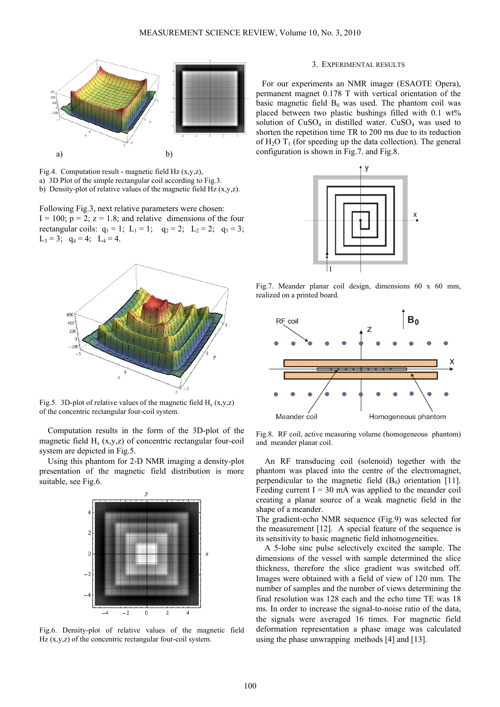

Fig.4. Computation result - magnetic field Hz  $(x,y,z)$ , a) 3D Plot of the simple rectangular coil according to Fig.3.

b) Density-plot of relative values of the magnetic field Hz  $(x,y,z)$ .

Following Fig.3, next relative parameters were chosen:  $I = 100$ ;  $p = 2$ ;  $z = 1.8$ ; and relative dimensions of the four rectangular coils:  $q_1 = 1$ ;  $L_1 = 1$ ;  $q_2 = 2$ ;  $L_2 = 2$ ;  $q_3 = 3$ ;  $L_3 = 3$ ;  $q_4 = 4$ ;  $L_4 = 4$ .



Fig.5. 3D-plot of relative values of the magnetic field  $H_z(x,y,z)$ of the concentric rectangular four-coil system.

Computation results in the form of the 3D-plot of the magnetic field  $H_z$  (x,y,z) of concentric rectangular four-coil system are depicted in Fig.5.

Using this phantom for 2-D NMR imaging a density-plot presentation of the magnetic field distribution is more suitable, see Fig.6.



Fig.6. Density-plot of relative values of the magnetic field  $Hz$  (x,y,z) of the concentric rectangular four-coil system.

# 3. EXPERIMENTAL RESULTS

For our experiments an NMR imager (ESAOTE Opera), permanent magnet 0.178 T with vertical orientation of the basic magnetic field  $B_0$  was used. The phantom coil was placed between two plastic bushings filled with  $0.1 \text{ wt\%}$ solution of  $CuSO<sub>4</sub>$  in distilled water.  $CuSO<sub>4</sub>$  was used to shorten the repetition time TR to 200 ms due to its reduction of  $H_2O$  T<sub>1</sub> (for speeding up the data collection). The general configuration is shown in Fig.7. and Fig.8.



Fig.7. Meander planar coil design, dimensions 60 x 60 mm, realized on a printed board.



Fig.8. RF coil, active measuring volume (homogeneous phantom) and meander planar coil.

 An RF transducing coil (solenoid) together with the phantom was placed into the centre of the electromagnet, perpendicular to the magnetic field  $(B_0)$  orientation [11]. Feeding current  $I = 30$  mA was applied to the meander coil creating a planar source of a weak magnetic field in the shape of a meander.

The gradient-echo NMR sequence (Fig.9) was selected for the measurement [12]. A special feature of the sequence is its sensitivity to basic magnetic field inhomogeneities.

A 5-lobe sinc pulse selectively excited the sample. The dimensions of the vessel with sample determined the slice thickness, therefore the slice gradient was switched off. Images were obtained with a field of view of 120 mm. The number of samples and the number of views determining the final resolution was 128 each and the echo time TE was 18 ms. In order to increase the signal-to-noise ratio of the data, the signals were averaged 16 times. For magnetic field deformation representation a phase image was calculated using the phase unwrapping methods [4] and [13].